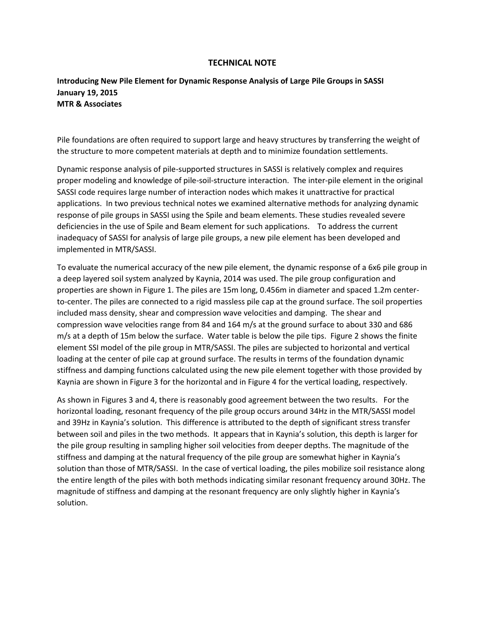## **TECHNICAL NOTE**

## **Introducing New Pile Element for Dynamic Response Analysis of Large Pile Groups in SASSI January 19, 2015 MTR & Associates**

Pile foundations are often required to support large and heavy structures by transferring the weight of the structure to more competent materials at depth and to minimize foundation settlements.

Dynamic response analysis of pile-supported structures in SASSI is relatively complex and requires proper modeling and knowledge of pile-soil-structure interaction. The inter-pile element in the original SASSI code requires large number of interaction nodes which makes it unattractive for practical applications. In two previous technical notes we examined alternative methods for analyzing dynamic response of pile groups in SASSI using the Spile and beam elements. These studies revealed severe deficiencies in the use of Spile and Beam element for such applications. To address the current inadequacy of SASSI for analysis of large pile groups, a new pile element has been developed and implemented in MTR/SASSI.

To evaluate the numerical accuracy of the new pile element, the dynamic response of a 6x6 pile group in a deep layered soil system analyzed by Kaynia, 2014 was used. The pile group configuration and properties are shown in Figure 1. The piles are 15m long, 0.456m in diameter and spaced 1.2m centerto-center. The piles are connected to a rigid massless pile cap at the ground surface. The soil properties included mass density, shear and compression wave velocities and damping. The shear and compression wave velocities range from 84 and 164 m/s at the ground surface to about 330 and 686 m/s at a depth of 15m below the surface. Water table is below the pile tips. Figure 2 shows the finite element SSI model of the pile group in MTR/SASSI. The piles are subjected to horizontal and vertical loading at the center of pile cap at ground surface. The results in terms of the foundation dynamic stiffness and damping functions calculated using the new pile element together with those provided by Kaynia are shown in Figure 3 for the horizontal and in Figure 4 for the vertical loading, respectively.

As shown in Figures 3 and 4, there is reasonably good agreement between the two results. For the horizontal loading, resonant frequency of the pile group occurs around 34Hz in the MTR/SASSI model and 39Hz in Kaynia's solution. This difference is attributed to the depth of significant stress transfer between soil and piles in the two methods. It appears that in Kaynia's solution, this depth is larger for the pile group resulting in sampling higher soil velocities from deeper depths. The magnitude of the stiffness and damping at the natural frequency of the pile group are somewhat higher in Kaynia's solution than those of MTR/SASSI. In the case of vertical loading, the piles mobilize soil resistance along the entire length of the piles with both methods indicating similar resonant frequency around 30Hz. The magnitude of stiffness and damping at the resonant frequency are only slightly higher in Kaynia's solution.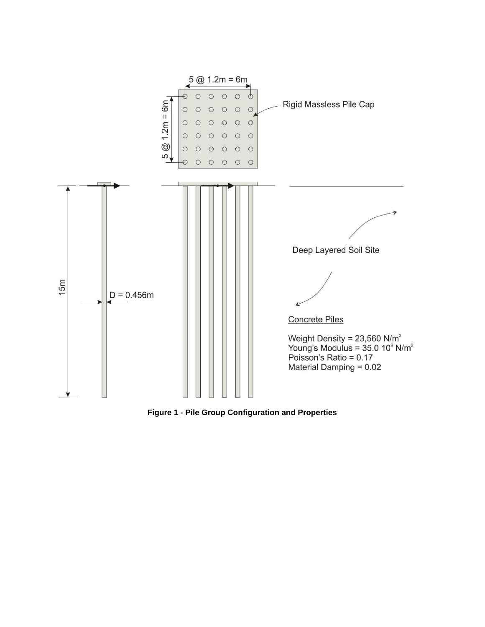

**Figure 1 - Pile Group Configuration and Properties**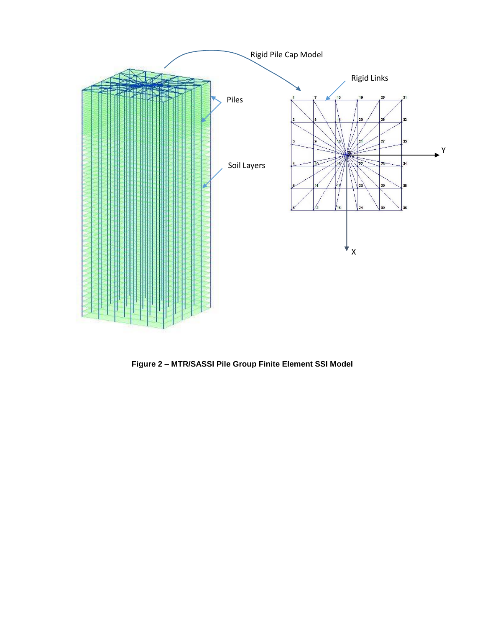

**Figure 2 – MTR/SASSI Pile Group Finite Element SSI Model**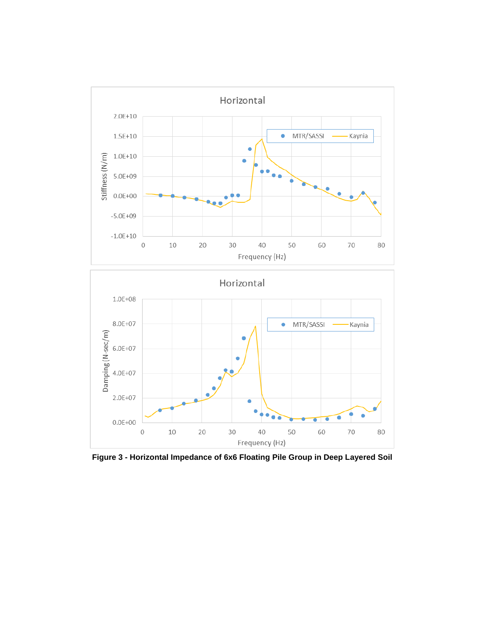

**Figure 3 - Horizontal Impedance of 6x6 Floating Pile Group in Deep Layered Soil**